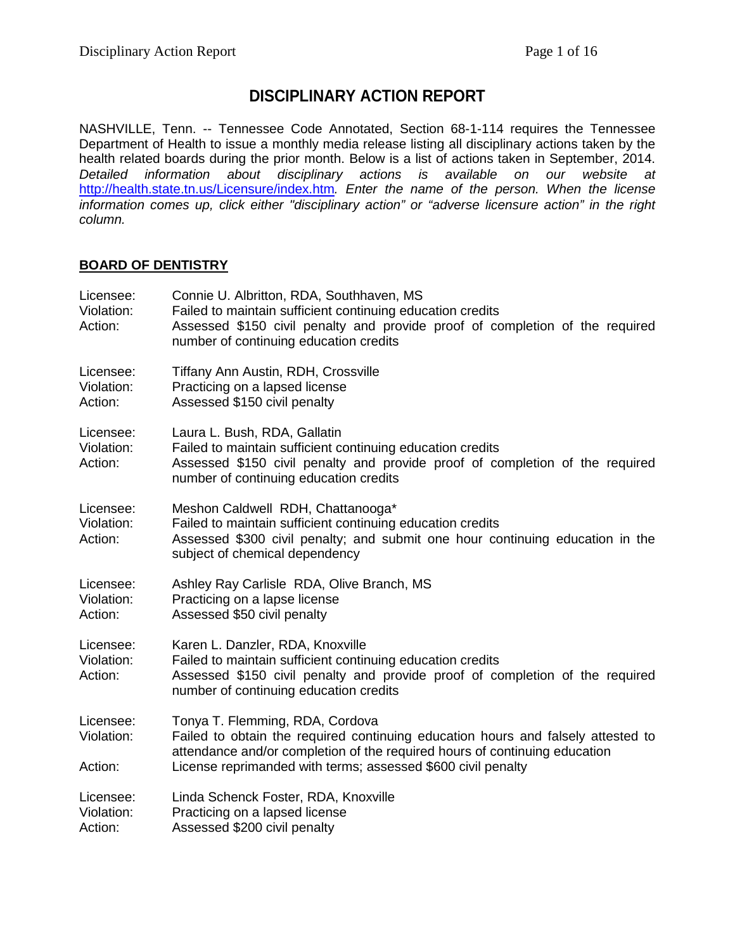# **DISCIPLINARY ACTION REPORT**

NASHVILLE, Tenn. -- Tennessee Code Annotated, Section 68-1-114 requires the Tennessee Department of Health to issue a monthly media release listing all disciplinary actions taken by the health related boards during the prior month. Below is a list of actions taken in September, 2014. *Detailed information about disciplinary actions is available on our website at*  <http://health.state.tn.us/Licensure/index.htm>*. Enter the name of the person. When the license information comes up, click either "disciplinary action" or "adverse licensure action" in the right column.*

## **BOARD OF DENTISTRY**

| Licensee:<br>Violation:<br>Action: | Connie U. Albritton, RDA, Southhaven, MS<br>Failed to maintain sufficient continuing education credits<br>Assessed \$150 civil penalty and provide proof of completion of the required<br>number of continuing education credits                                  |
|------------------------------------|-------------------------------------------------------------------------------------------------------------------------------------------------------------------------------------------------------------------------------------------------------------------|
| Licensee:<br>Violation:<br>Action: | <b>Tiffany Ann Austin, RDH, Crossville</b><br>Practicing on a lapsed license<br>Assessed \$150 civil penalty                                                                                                                                                      |
| Licensee:<br>Violation:<br>Action: | Laura L. Bush, RDA, Gallatin<br>Failed to maintain sufficient continuing education credits<br>Assessed \$150 civil penalty and provide proof of completion of the required<br>number of continuing education credits                                              |
| Licensee:<br>Violation:<br>Action: | Meshon Caldwell RDH, Chattanooga*<br>Failed to maintain sufficient continuing education credits<br>Assessed \$300 civil penalty; and submit one hour continuing education in the<br>subject of chemical dependency                                                |
| Licensee:<br>Violation:<br>Action: | Ashley Ray Carlisle RDA, Olive Branch, MS<br>Practicing on a lapse license<br>Assessed \$50 civil penalty                                                                                                                                                         |
| Licensee:<br>Violation:<br>Action: | Karen L. Danzler, RDA, Knoxville<br>Failed to maintain sufficient continuing education credits<br>Assessed \$150 civil penalty and provide proof of completion of the required<br>number of continuing education credits                                          |
| Licensee:<br>Violation:<br>Action: | Tonya T. Flemming, RDA, Cordova<br>Failed to obtain the required continuing education hours and falsely attested to<br>attendance and/or completion of the required hours of continuing education<br>License reprimanded with terms; assessed \$600 civil penalty |
| Licensee:<br>Violation:<br>Action: | Linda Schenck Foster, RDA, Knoxville<br>Practicing on a lapsed license<br>Assessed \$200 civil penalty                                                                                                                                                            |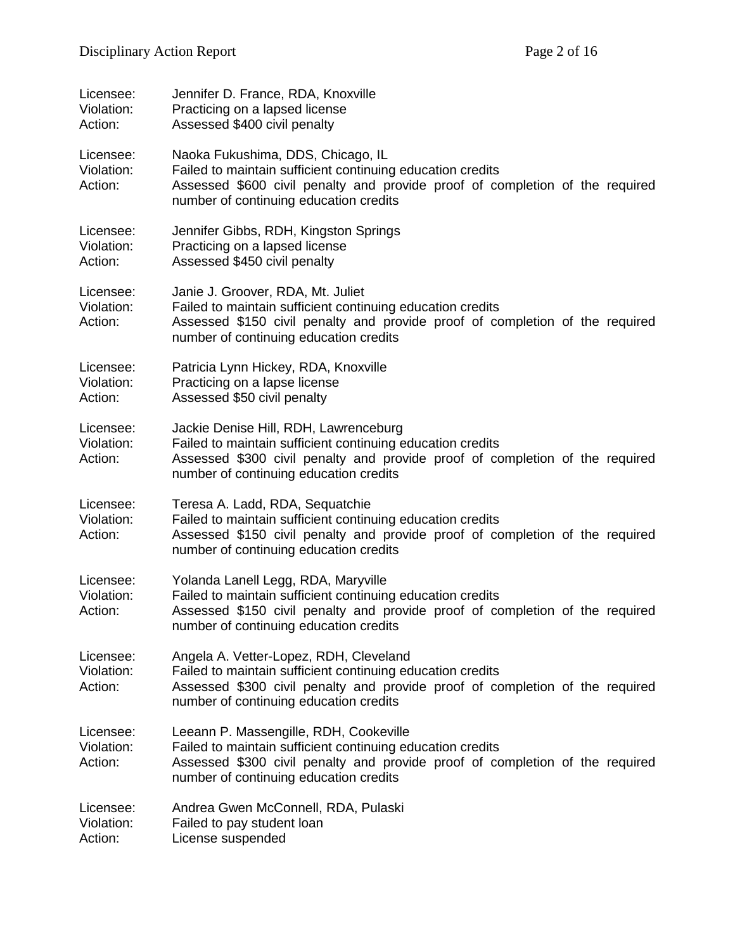| Licensee:<br>Violation:<br>Action: | Jennifer D. France, RDA, Knoxville<br>Practicing on a lapsed license<br>Assessed \$400 civil penalty                                                                                                                           |
|------------------------------------|--------------------------------------------------------------------------------------------------------------------------------------------------------------------------------------------------------------------------------|
| Licensee:<br>Violation:<br>Action: | Naoka Fukushima, DDS, Chicago, IL<br>Failed to maintain sufficient continuing education credits<br>Assessed \$600 civil penalty and provide proof of completion of the required<br>number of continuing education credits      |
| Licensee:<br>Violation:<br>Action: | Jennifer Gibbs, RDH, Kingston Springs<br>Practicing on a lapsed license<br>Assessed \$450 civil penalty                                                                                                                        |
| Licensee:<br>Violation:<br>Action: | Janie J. Groover, RDA, Mt. Juliet<br>Failed to maintain sufficient continuing education credits<br>Assessed \$150 civil penalty and provide proof of completion of the required<br>number of continuing education credits      |
| Licensee:<br>Violation:<br>Action: | Patricia Lynn Hickey, RDA, Knoxville<br>Practicing on a lapse license<br>Assessed \$50 civil penalty                                                                                                                           |
| Licensee:<br>Violation:<br>Action: | Jackie Denise Hill, RDH, Lawrenceburg<br>Failed to maintain sufficient continuing education credits<br>Assessed \$300 civil penalty and provide proof of completion of the required<br>number of continuing education credits  |
| Licensee:<br>Violation:<br>Action: | Teresa A. Ladd, RDA, Sequatchie<br>Failed to maintain sufficient continuing education credits<br>Assessed \$150 civil penalty and provide proof of completion of the required<br>number of continuing education credits        |
| Licensee:<br>Violation:<br>Action: | Yolanda Lanell Legg, RDA, Maryville<br>Failed to maintain sufficient continuing education credits<br>Assessed \$150 civil penalty and provide proof of completion of the required<br>number of continuing education credits    |
| Licensee:<br>Violation:<br>Action: | Angela A. Vetter-Lopez, RDH, Cleveland<br>Failed to maintain sufficient continuing education credits<br>Assessed \$300 civil penalty and provide proof of completion of the required<br>number of continuing education credits |
| Licensee:<br>Violation:<br>Action: | Leeann P. Massengille, RDH, Cookeville<br>Failed to maintain sufficient continuing education credits<br>Assessed \$300 civil penalty and provide proof of completion of the required<br>number of continuing education credits |
| Licensee:<br>Violation:<br>Action: | Andrea Gwen McConnell, RDA, Pulaski<br>Failed to pay student loan<br>License suspended                                                                                                                                         |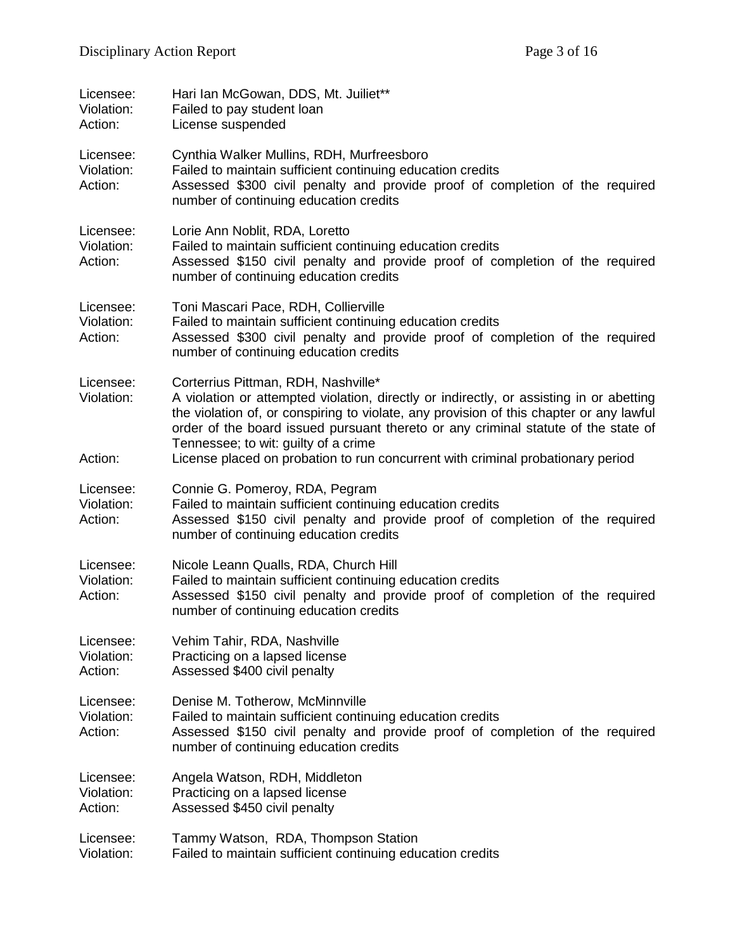| Licensee:<br>Violation:<br>Action: | Hari Ian McGowan, DDS, Mt. Juiliet**<br>Failed to pay student loan<br>License suspended                                                                                                                                                                                                                                                                                                                                                    |
|------------------------------------|--------------------------------------------------------------------------------------------------------------------------------------------------------------------------------------------------------------------------------------------------------------------------------------------------------------------------------------------------------------------------------------------------------------------------------------------|
| Licensee:<br>Violation:<br>Action: | Cynthia Walker Mullins, RDH, Murfreesboro<br>Failed to maintain sufficient continuing education credits<br>Assessed \$300 civil penalty and provide proof of completion of the required<br>number of continuing education credits                                                                                                                                                                                                          |
| Licensee:<br>Violation:<br>Action: | Lorie Ann Noblit, RDA, Loretto<br>Failed to maintain sufficient continuing education credits<br>Assessed \$150 civil penalty and provide proof of completion of the required<br>number of continuing education credits                                                                                                                                                                                                                     |
| Licensee:<br>Violation:<br>Action: | Toni Mascari Pace, RDH, Collierville<br>Failed to maintain sufficient continuing education credits<br>Assessed \$300 civil penalty and provide proof of completion of the required<br>number of continuing education credits                                                                                                                                                                                                               |
| Licensee:<br>Violation:<br>Action: | Corterrius Pittman, RDH, Nashville*<br>A violation or attempted violation, directly or indirectly, or assisting in or abetting<br>the violation of, or conspiring to violate, any provision of this chapter or any lawful<br>order of the board issued pursuant thereto or any criminal statute of the state of<br>Tennessee; to wit: guilty of a crime<br>License placed on probation to run concurrent with criminal probationary period |
| Licensee:<br>Violation:<br>Action: | Connie G. Pomeroy, RDA, Pegram<br>Failed to maintain sufficient continuing education credits<br>Assessed \$150 civil penalty and provide proof of completion of the required<br>number of continuing education credits                                                                                                                                                                                                                     |
| Licensee:<br>Violation:<br>Action: | Nicole Leann Qualls, RDA, Church Hill<br>Failed to maintain sufficient continuing education credits<br>Assessed \$150 civil penalty and provide proof of completion of the required<br>number of continuing education credits                                                                                                                                                                                                              |
| Licensee:<br>Violation:<br>Action: | Vehim Tahir, RDA, Nashville<br>Practicing on a lapsed license<br>Assessed \$400 civil penalty                                                                                                                                                                                                                                                                                                                                              |
| Licensee:<br>Violation:<br>Action: | Denise M. Totherow, McMinnville<br>Failed to maintain sufficient continuing education credits<br>Assessed \$150 civil penalty and provide proof of completion of the required<br>number of continuing education credits                                                                                                                                                                                                                    |
| Licensee:<br>Violation:<br>Action: | Angela Watson, RDH, Middleton<br>Practicing on a lapsed license<br>Assessed \$450 civil penalty                                                                                                                                                                                                                                                                                                                                            |
| Licensee:<br>Violation:            | Tammy Watson, RDA, Thompson Station<br>Failed to maintain sufficient continuing education credits                                                                                                                                                                                                                                                                                                                                          |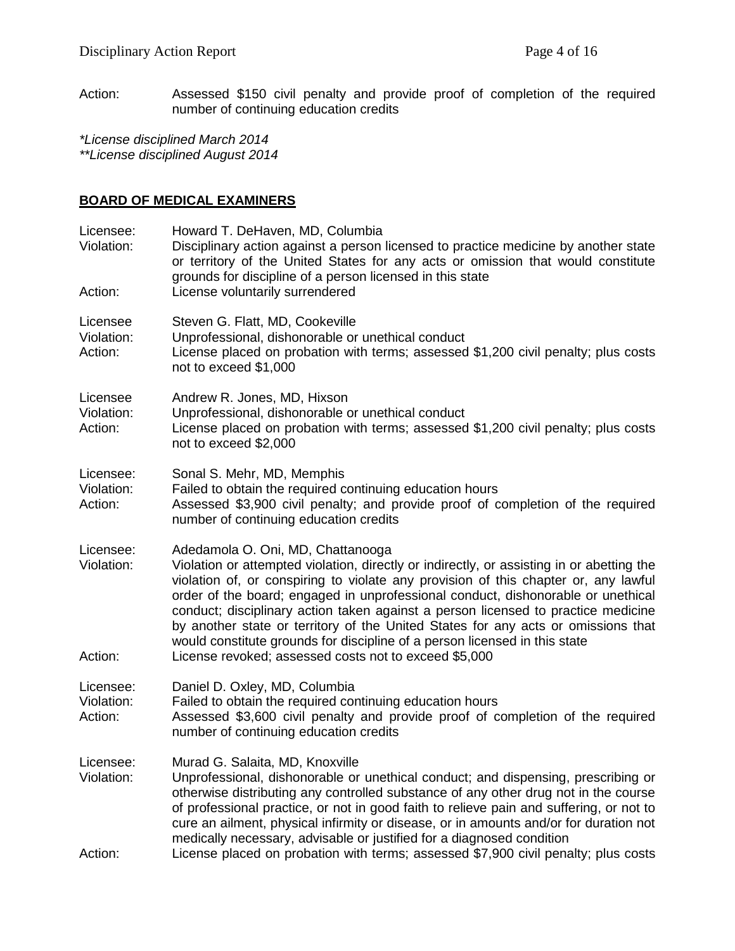Action: Assessed \$150 civil penalty and provide proof of completion of the required number of continuing education credits

*\*License disciplined March 2014 \*\*License disciplined August 2014*

## **BOARD OF MEDICAL EXAMINERS**

| Licensee:<br>Violation:<br>Action: | Howard T. DeHaven, MD, Columbia<br>Disciplinary action against a person licensed to practice medicine by another state<br>or territory of the United States for any acts or omission that would constitute<br>grounds for discipline of a person licensed in this state<br>License voluntarily surrendered                                                                                                                                                                                                                                                                                                                 |
|------------------------------------|----------------------------------------------------------------------------------------------------------------------------------------------------------------------------------------------------------------------------------------------------------------------------------------------------------------------------------------------------------------------------------------------------------------------------------------------------------------------------------------------------------------------------------------------------------------------------------------------------------------------------|
| Licensee<br>Violation:<br>Action:  | Steven G. Flatt, MD, Cookeville<br>Unprofessional, dishonorable or unethical conduct<br>License placed on probation with terms; assessed \$1,200 civil penalty; plus costs<br>not to exceed \$1,000                                                                                                                                                                                                                                                                                                                                                                                                                        |
| Licensee<br>Violation:<br>Action:  | Andrew R. Jones, MD, Hixson<br>Unprofessional, dishonorable or unethical conduct<br>License placed on probation with terms; assessed \$1,200 civil penalty; plus costs<br>not to exceed \$2,000                                                                                                                                                                                                                                                                                                                                                                                                                            |
| Licensee:<br>Violation:<br>Action: | Sonal S. Mehr, MD, Memphis<br>Failed to obtain the required continuing education hours<br>Assessed \$3,900 civil penalty; and provide proof of completion of the required<br>number of continuing education credits                                                                                                                                                                                                                                                                                                                                                                                                        |
| Licensee:<br>Violation:<br>Action: | Adedamola O. Oni, MD, Chattanooga<br>Violation or attempted violation, directly or indirectly, or assisting in or abetting the<br>violation of, or conspiring to violate any provision of this chapter or, any lawful<br>order of the board; engaged in unprofessional conduct, dishonorable or unethical<br>conduct; disciplinary action taken against a person licensed to practice medicine<br>by another state or territory of the United States for any acts or omissions that<br>would constitute grounds for discipline of a person licensed in this state<br>License revoked; assessed costs not to exceed \$5,000 |
| Licensee:<br>Violation:<br>Action: | Daniel D. Oxley, MD, Columbia<br>Failed to obtain the required continuing education hours<br>Assessed \$3,600 civil penalty and provide proof of completion of the required<br>number of continuing education credits                                                                                                                                                                                                                                                                                                                                                                                                      |
| Licensee:<br>Violation:<br>Action: | Murad G. Salaita, MD, Knoxville<br>Unprofessional, dishonorable or unethical conduct; and dispensing, prescribing or<br>otherwise distributing any controlled substance of any other drug not in the course<br>of professional practice, or not in good faith to relieve pain and suffering, or not to<br>cure an ailment, physical infirmity or disease, or in amounts and/or for duration not<br>medically necessary, advisable or justified for a diagnosed condition<br>License placed on probation with terms; assessed \$7,900 civil penalty; plus costs                                                             |
|                                    |                                                                                                                                                                                                                                                                                                                                                                                                                                                                                                                                                                                                                            |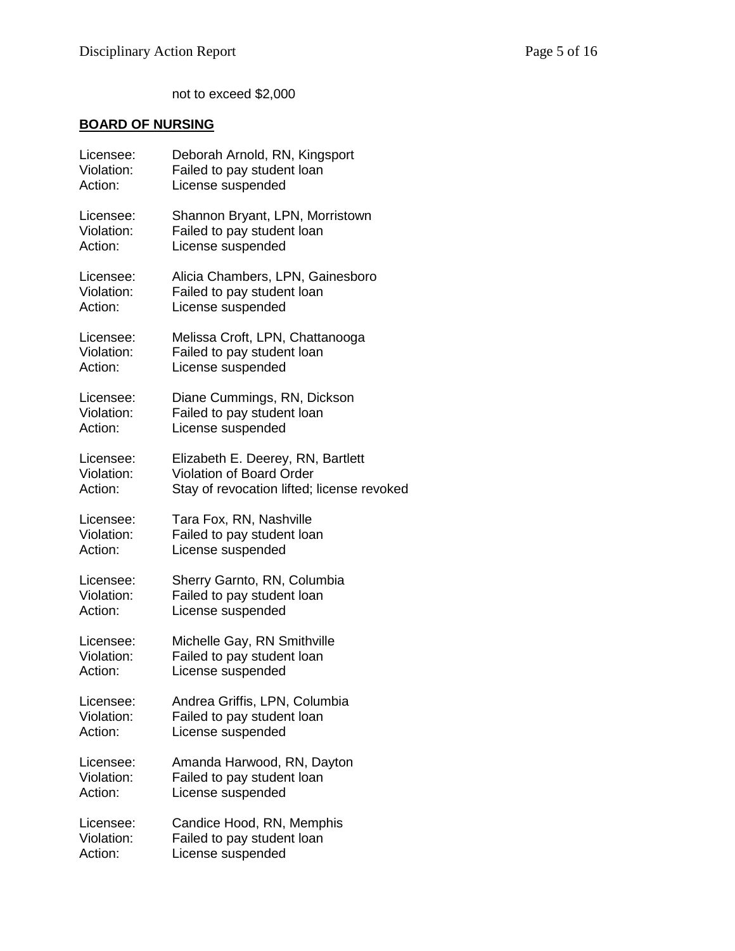not to exceed \$2,000

# **BOARD OF NURSING**

| Licensee:  | Deborah Arnold, RN, Kingsport              |
|------------|--------------------------------------------|
| Violation: | Failed to pay student loan                 |
| Action:    | License suspended                          |
| Licensee:  | Shannon Bryant, LPN, Morristown            |
| Violation: | Failed to pay student loan                 |
| Action:    | License suspended                          |
| Licensee:  | Alicia Chambers, LPN, Gainesboro           |
| Violation: | Failed to pay student loan                 |
| Action:    | License suspended                          |
| Licensee:  | Melissa Croft, LPN, Chattanooga            |
| Violation: | Failed to pay student loan                 |
| Action:    | License suspended                          |
| Licensee:  | Diane Cummings, RN, Dickson                |
| Violation: | Failed to pay student loan                 |
| Action:    | License suspended                          |
| Licensee:  | Elizabeth E. Deerey, RN, Bartlett          |
| Violation: | <b>Violation of Board Order</b>            |
| Action:    | Stay of revocation lifted; license revoked |
| Licensee:  | Tara Fox, RN, Nashville                    |
| Violation: | Failed to pay student loan                 |
| Action:    | License suspended                          |
| Licensee:  | Sherry Garnto, RN, Columbia                |
| Violation: | Failed to pay student loan                 |
| Action:    | License suspended                          |
| Licensee:  | Michelle Gay, RN Smithville                |
| Violation: | Failed to pay student loan                 |
| Action:    | License suspended                          |
| Licensee:  | Andrea Griffis, LPN, Columbia              |
| Violation: | Failed to pay student loan                 |
| Action:    | License suspended                          |
| Licensee:  | Amanda Harwood, RN, Dayton                 |
| Violation: | Failed to pay student loan                 |
| Action:    | License suspended                          |
| Licensee:  | Candice Hood, RN, Memphis                  |
| Violation: | Failed to pay student loan                 |
| Action:    | License suspended                          |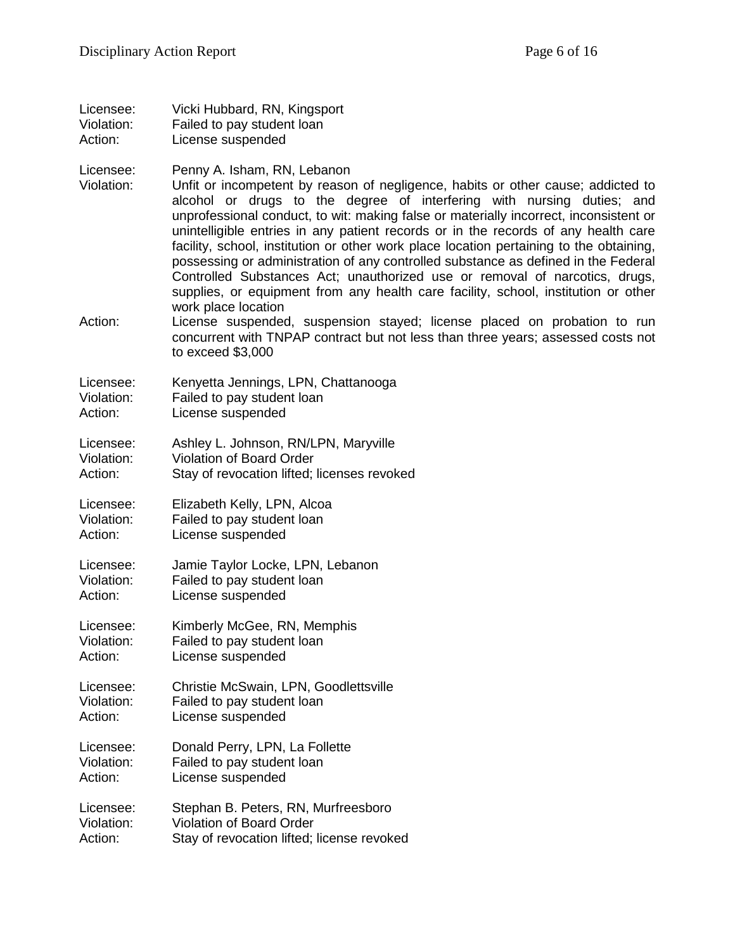| Licensee:  | Vicki Hubbard, RN, Kingsport |
|------------|------------------------------|
| Violation: | Failed to pay student loan   |
| Action:    | License suspended            |

Licensee: Penny A. Isham, RN, Lebanon

Violation: Unfit or incompetent by reason of negligence, habits or other cause; addicted to alcohol or drugs to the degree of interfering with nursing duties; and unprofessional conduct, to wit: making false or materially incorrect, inconsistent or unintelligible entries in any patient records or in the records of any health care facility, school, institution or other work place location pertaining to the obtaining, possessing or administration of any controlled substance as defined in the Federal Controlled Substances Act; unauthorized use or removal of narcotics, drugs, supplies, or equipment from any health care facility, school, institution or other work place location

Action: License suspended, suspension stayed; license placed on probation to run concurrent with TNPAP contract but not less than three years; assessed costs not to exceed \$3,000

| Licensee:  | Kenyetta Jennings, LPN, Chattanooga |
|------------|-------------------------------------|
| Violation: | Failed to pay student loan          |
| Action:    | License suspended                   |

Licensee: Ashley L. Johnson, RN/LPN, Maryville<br>Violation: Violation of Board Order

Violation: Violation of Board Order

Action: Stay of revocation lifted; licenses revoked

Licensee: Elizabeth Kelly, LPN, Alcoa Violation: Failed to pay student loan Action: License suspended

Licensee: Jamie Taylor Locke, LPN, Lebanon Violation: Failed to pay student loan Action: License suspended

Licensee: Kimberly McGee, RN, Memphis Violation: Failed to pay student loan Action: License suspended

Licensee: Christie McSwain, LPN, Goodlettsville Violation: Failed to pay student loan Action: License suspended

Licensee: Donald Perry, LPN, La Follette Violation: Failed to pay student loan Action: License suspended

Licensee: Stephan B. Peters, RN, Murfreesboro Violation: Violation of Board Order Action: Stay of revocation lifted; license revoked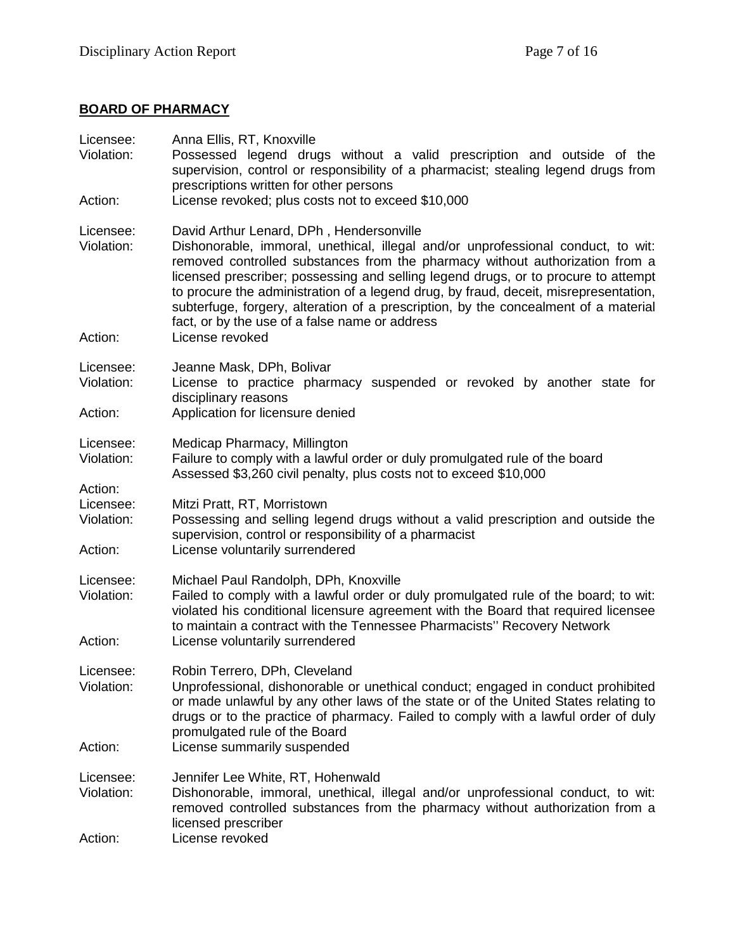# **BOARD OF PHARMACY**

| Licensee:<br>Violation:            | Anna Ellis, RT, Knoxville<br>Possessed legend drugs without a valid prescription and outside of the                                                                                                                                                                                                                                                                                                                                                                                                                                 |
|------------------------------------|-------------------------------------------------------------------------------------------------------------------------------------------------------------------------------------------------------------------------------------------------------------------------------------------------------------------------------------------------------------------------------------------------------------------------------------------------------------------------------------------------------------------------------------|
| Action:                            | supervision, control or responsibility of a pharmacist; stealing legend drugs from<br>prescriptions written for other persons<br>License revoked; plus costs not to exceed \$10,000                                                                                                                                                                                                                                                                                                                                                 |
|                                    |                                                                                                                                                                                                                                                                                                                                                                                                                                                                                                                                     |
| Licensee:<br>Violation:            | David Arthur Lenard, DPh, Hendersonville<br>Dishonorable, immoral, unethical, illegal and/or unprofessional conduct, to wit:<br>removed controlled substances from the pharmacy without authorization from a<br>licensed prescriber; possessing and selling legend drugs, or to procure to attempt<br>to procure the administration of a legend drug, by fraud, deceit, misrepresentation,<br>subterfuge, forgery, alteration of a prescription, by the concealment of a material<br>fact, or by the use of a false name or address |
| Action:                            | License revoked                                                                                                                                                                                                                                                                                                                                                                                                                                                                                                                     |
| Licensee:<br>Violation:            | Jeanne Mask, DPh, Bolivar<br>License to practice pharmacy suspended or revoked by another state for<br>disciplinary reasons                                                                                                                                                                                                                                                                                                                                                                                                         |
| Action:                            | Application for licensure denied                                                                                                                                                                                                                                                                                                                                                                                                                                                                                                    |
| Licensee:<br>Violation:            | Medicap Pharmacy, Millington<br>Failure to comply with a lawful order or duly promulgated rule of the board                                                                                                                                                                                                                                                                                                                                                                                                                         |
| Action:                            | Assessed \$3,260 civil penalty, plus costs not to exceed \$10,000                                                                                                                                                                                                                                                                                                                                                                                                                                                                   |
| Licensee:<br>Violation:<br>Action: | Mitzi Pratt, RT, Morristown<br>Possessing and selling legend drugs without a valid prescription and outside the<br>supervision, control or responsibility of a pharmacist<br>License voluntarily surrendered                                                                                                                                                                                                                                                                                                                        |
|                                    |                                                                                                                                                                                                                                                                                                                                                                                                                                                                                                                                     |
| Licensee:<br>Violation:            | Michael Paul Randolph, DPh, Knoxville<br>Failed to comply with a lawful order or duly promulgated rule of the board; to wit:<br>violated his conditional licensure agreement with the Board that required licensee<br>to maintain a contract with the Tennessee Pharmacists" Recovery Network                                                                                                                                                                                                                                       |
| Action:                            | License voluntarily surrendered                                                                                                                                                                                                                                                                                                                                                                                                                                                                                                     |
| Licensee:<br>Violation:            | Robin Terrero, DPh, Cleveland<br>Unprofessional, dishonorable or unethical conduct; engaged in conduct prohibited<br>or made unlawful by any other laws of the state or of the United States relating to<br>drugs or to the practice of pharmacy. Failed to comply with a lawful order of duly<br>promulgated rule of the Board                                                                                                                                                                                                     |
| Action:                            | License summarily suspended                                                                                                                                                                                                                                                                                                                                                                                                                                                                                                         |
| Licensee:<br>Violation:            | Jennifer Lee White, RT, Hohenwald<br>Dishonorable, immoral, unethical, illegal and/or unprofessional conduct, to wit:<br>removed controlled substances from the pharmacy without authorization from a<br>licensed prescriber                                                                                                                                                                                                                                                                                                        |
| Action:                            | License revoked                                                                                                                                                                                                                                                                                                                                                                                                                                                                                                                     |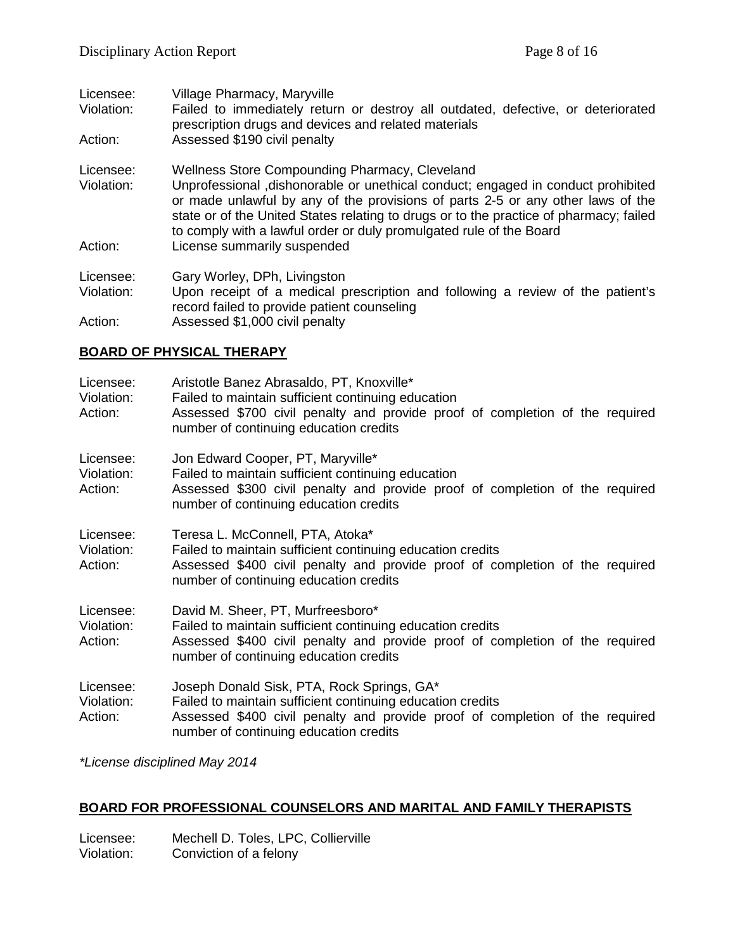| Licensee:              | Village Pharmacy, Maryville                                                                                                                                                                                                                                                                                                          |
|------------------------|--------------------------------------------------------------------------------------------------------------------------------------------------------------------------------------------------------------------------------------------------------------------------------------------------------------------------------------|
| Violation:             | Failed to immediately return or destroy all outdated, defective, or deteriorated<br>prescription drugs and devices and related materials                                                                                                                                                                                             |
| Action:                | Assessed \$190 civil penalty                                                                                                                                                                                                                                                                                                         |
| Licensee:              | Wellness Store Compounding Pharmacy, Cleveland                                                                                                                                                                                                                                                                                       |
| Violation:             | Unprofessional, dishonorable or unethical conduct; engaged in conduct prohibited<br>or made unlawful by any of the provisions of parts 2-5 or any other laws of the<br>state or of the United States relating to drugs or to the practice of pharmacy; failed<br>to comply with a lawful order or duly promulgated rule of the Board |
| Action:                | License summarily suspended                                                                                                                                                                                                                                                                                                          |
| Licensee:              | Gary Worley, DPh, Livingston                                                                                                                                                                                                                                                                                                         |
| Violation:             | Upon receipt of a medical prescription and following a review of the patient's<br>record failed to provide patient counseling                                                                                                                                                                                                        |
| $\Lambda$ at $\Lambda$ |                                                                                                                                                                                                                                                                                                                                      |

Action: Assessed \$1,000 civil penalty

#### **BOARD OF PHYSICAL THERAPY**

| Licensee:<br>Violation:<br>Action: | Aristotle Banez Abrasaldo, PT, Knoxville*<br>Failed to maintain sufficient continuing education<br>Assessed \$700 civil penalty and provide proof of completion of the required<br>number of continuing education credits          |
|------------------------------------|------------------------------------------------------------------------------------------------------------------------------------------------------------------------------------------------------------------------------------|
| Licensee:<br>Violation:<br>Action: | Jon Edward Cooper, PT, Maryville*<br>Failed to maintain sufficient continuing education<br>Assessed \$300 civil penalty and provide proof of completion of the required<br>number of continuing education credits                  |
| Licensee:<br>Violation:<br>Action: | Teresa L. McConnell, PTA, Atoka*<br>Failed to maintain sufficient continuing education credits<br>Assessed \$400 civil penalty and provide proof of completion of the required<br>number of continuing education credits           |
| Licensee:<br>Violation:<br>Action: | David M. Sheer, PT, Murfreesboro*<br>Failed to maintain sufficient continuing education credits<br>Assessed \$400 civil penalty and provide proof of completion of the required<br>number of continuing education credits          |
| Licensee:<br>Violation:<br>Action: | Joseph Donald Sisk, PTA, Rock Springs, GA*<br>Failed to maintain sufficient continuing education credits<br>Assessed \$400 civil penalty and provide proof of completion of the required<br>number of continuing education credits |

*\*License disciplined May 2014*

# **BOARD FOR PROFESSIONAL COUNSELORS AND MARITAL AND FAMILY THERAPISTS**

Licensee: Mechell D. Toles, LPC, Collierville<br>Violation: Conviction of a felony Conviction of a felony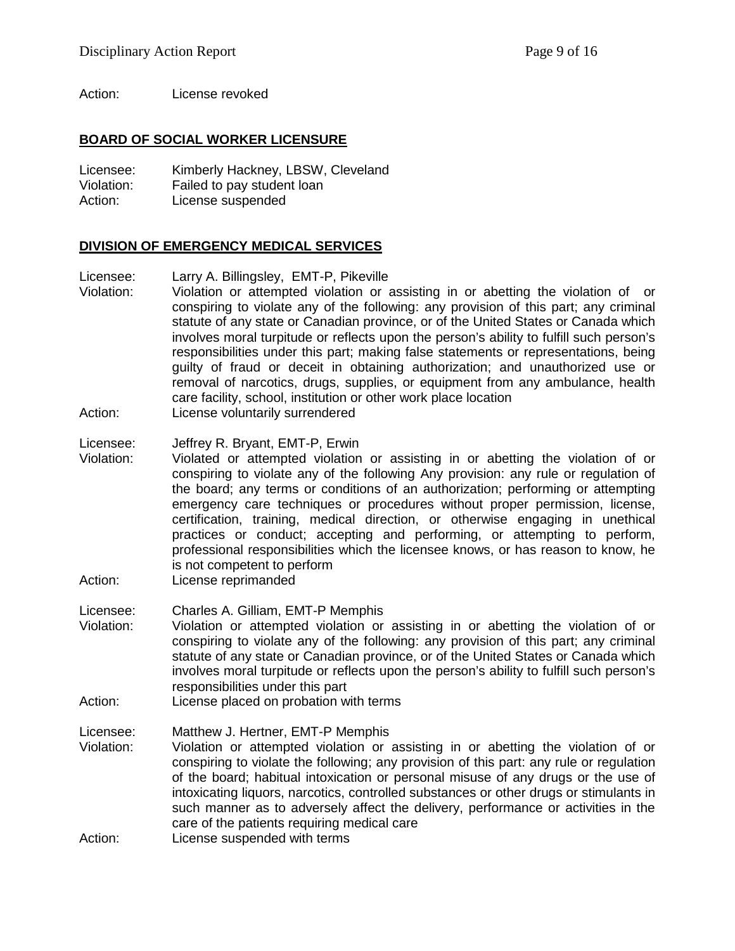Action: License revoked

#### **BOARD OF SOCIAL WORKER LICENSURE**

Licensee: Kimberly Hackney, LBSW, Cleveland Violation: Failed to pay student loan Action: License suspended

#### **DIVISION OF EMERGENCY MEDICAL SERVICES**

Licensee: Larry A. Billingsley, EMT-P, Pikeville

- Violation: Violation or attempted violation or assisting in or abetting the violation of or conspiring to violate any of the following: any provision of this part; any criminal statute of any state or Canadian province, or of the United States or Canada which involves moral turpitude or reflects upon the person's ability to fulfill such person's responsibilities under this part; making false statements or representations, being guilty of fraud or deceit in obtaining authorization; and unauthorized use or removal of narcotics, drugs, supplies, or equipment from any ambulance, health care facility, school, institution or other work place location
- Action: License voluntarily surrendered
- Licensee: Jeffrey R. Bryant, EMT-P, Erwin<br>Violation: Violated or attempted violation
- Violation: Violated or attempted violation or assisting in or abetting the violation of or conspiring to violate any of the following Any provision: any rule or regulation of the board; any terms or conditions of an authorization; performing or attempting emergency care techniques or procedures without proper permission, license, certification, training, medical direction, or otherwise engaging in unethical practices or conduct; accepting and performing, or attempting to perform, professional responsibilities which the licensee knows, or has reason to know, he is not competent to perform
- Action: License reprimanded
- Licensee: Charles A. Gilliam, EMT-P Memphis
- Violation: Violation or attempted violation or assisting in or abetting the violation of or conspiring to violate any of the following: any provision of this part; any criminal statute of any state or Canadian province, or of the United States or Canada which involves moral turpitude or reflects upon the person's ability to fulfill such person's responsibilities under this part
- Action: License placed on probation with terms

Licensee: Matthew J. Hertner, EMT-P Memphis

- Violation: Violation or attempted violation or assisting in or abetting the violation of or conspiring to violate the following; any provision of this part: any rule or regulation of the board; habitual intoxication or personal misuse of any drugs or the use of intoxicating liquors, narcotics, controlled substances or other drugs or stimulants in such manner as to adversely affect the delivery, performance or activities in the care of the patients requiring medical care
- Action: License suspended with terms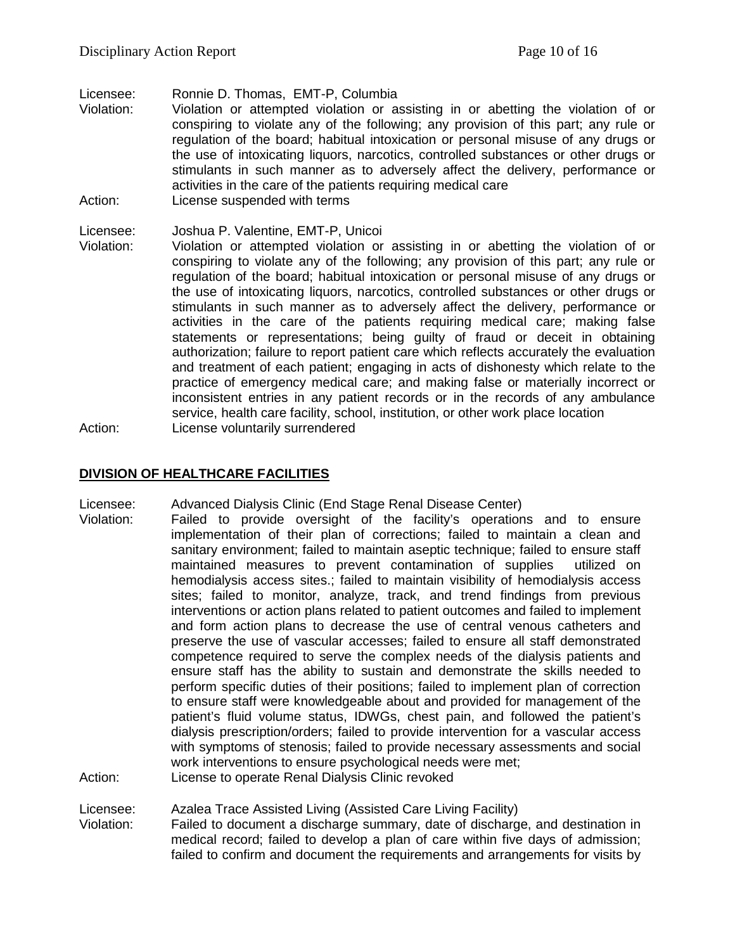Licensee: Ronnie D. Thomas, EMT-P, Columbia<br>Violation: Violation or attempted violation or as

- Violation: Violation or attempted violation or assisting in or abetting the violation of or conspiring to violate any of the following; any provision of this part; any rule or regulation of the board; habitual intoxication or personal misuse of any drugs or the use of intoxicating liquors, narcotics, controlled substances or other drugs or stimulants in such manner as to adversely affect the delivery, performance or activities in the care of the patients requiring medical care
- Action: License suspended with terms

Licensee: Joshua P. Valentine, EMT-P, Unicoi Violation: Violation or attempted violation or assisting in or abetting the violation of or conspiring to violate any of the following; any provision of this part; any rule or regulation of the board; habitual intoxication or personal misuse of any drugs or the use of intoxicating liquors, narcotics, controlled substances or other drugs or stimulants in such manner as to adversely affect the delivery, performance or activities in the care of the patients requiring medical care; making false statements or representations; being guilty of fraud or deceit in obtaining authorization; failure to report patient care which reflects accurately the evaluation and treatment of each patient; engaging in acts of dishonesty which relate to the practice of emergency medical care; and making false or materially incorrect or inconsistent entries in any patient records or in the records of any ambulance service, health care facility, school, institution, or other work place location Action: License voluntarily surrendered

### **DIVISION OF HEALTHCARE FACILITIES**

- Licensee: Advanced Dialysis Clinic (End Stage Renal Disease Center)
- Violation: Failed to provide oversight of the facility's operations and to ensure implementation of their plan of corrections; failed to maintain a clean and sanitary environment; failed to maintain aseptic technique; failed to ensure staff maintained measures to prevent contamination of supplies utilized on hemodialysis access sites.; failed to maintain visibility of hemodialysis access sites; failed to monitor, analyze, track, and trend findings from previous interventions or action plans related to patient outcomes and failed to implement and form action plans to decrease the use of central venous catheters and preserve the use of vascular accesses; failed to ensure all staff demonstrated competence required to serve the complex needs of the dialysis patients and ensure staff has the ability to sustain and demonstrate the skills needed to perform specific duties of their positions; failed to implement plan of correction to ensure staff were knowledgeable about and provided for management of the patient's fluid volume status, IDWGs, chest pain, and followed the patient's dialysis prescription/orders; failed to provide intervention for a vascular access with symptoms of stenosis; failed to provide necessary assessments and social work interventions to ensure psychological needs were met;

Action: License to operate Renal Dialysis Clinic revoked

Licensee: Azalea Trace Assisted Living (Assisted Care Living Facility)

Violation: Failed to document a discharge summary, date of discharge, and destination in medical record; failed to develop a plan of care within five days of admission; failed to confirm and document the requirements and arrangements for visits by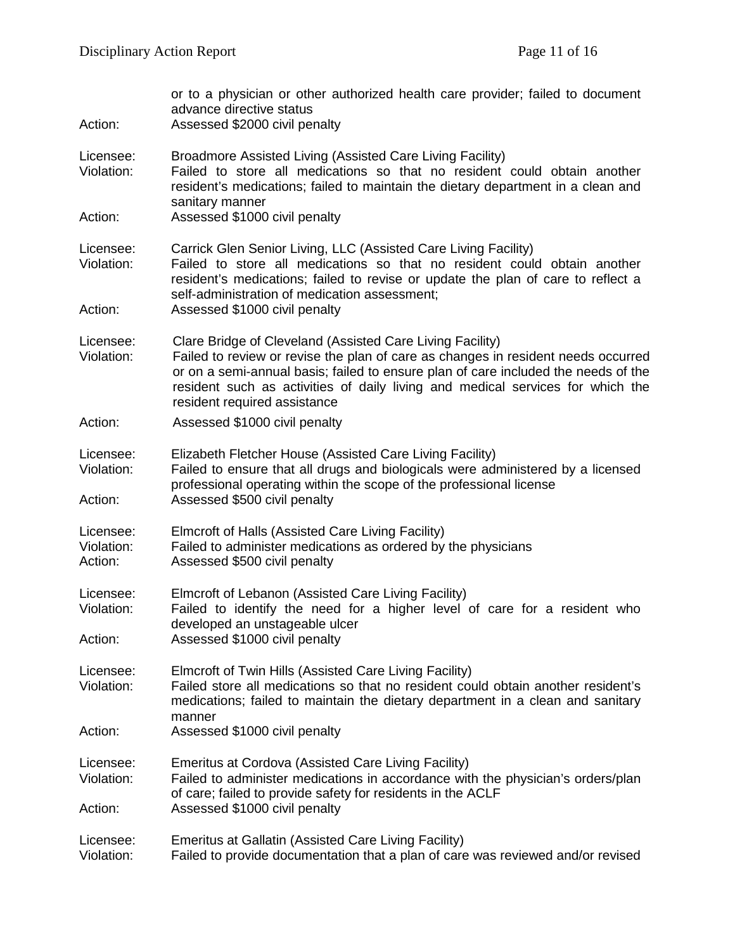| Action:                            | or to a physician or other authorized health care provider; failed to document<br>advance directive status<br>Assessed \$2000 civil penalty                                                                                                                                                                                                            |
|------------------------------------|--------------------------------------------------------------------------------------------------------------------------------------------------------------------------------------------------------------------------------------------------------------------------------------------------------------------------------------------------------|
| Licensee:<br>Violation:            | Broadmore Assisted Living (Assisted Care Living Facility)<br>Failed to store all medications so that no resident could obtain another<br>resident's medications; failed to maintain the dietary department in a clean and<br>sanitary manner                                                                                                           |
| Action:                            | Assessed \$1000 civil penalty                                                                                                                                                                                                                                                                                                                          |
| Licensee:<br>Violation:            | Carrick Glen Senior Living, LLC (Assisted Care Living Facility)<br>Failed to store all medications so that no resident could obtain another<br>resident's medications; failed to revise or update the plan of care to reflect a<br>self-administration of medication assessment;                                                                       |
| Action:                            | Assessed \$1000 civil penalty                                                                                                                                                                                                                                                                                                                          |
| Licensee:<br>Violation:            | Clare Bridge of Cleveland (Assisted Care Living Facility)<br>Failed to review or revise the plan of care as changes in resident needs occurred<br>or on a semi-annual basis; failed to ensure plan of care included the needs of the<br>resident such as activities of daily living and medical services for which the<br>resident required assistance |
| Action:                            | Assessed \$1000 civil penalty                                                                                                                                                                                                                                                                                                                          |
| Licensee:<br>Violation:            | Elizabeth Fletcher House (Assisted Care Living Facility)<br>Failed to ensure that all drugs and biologicals were administered by a licensed<br>professional operating within the scope of the professional license                                                                                                                                     |
| Action:                            | Assessed \$500 civil penalty                                                                                                                                                                                                                                                                                                                           |
| Licensee:<br>Violation:<br>Action: | Elmcroft of Halls (Assisted Care Living Facility)<br>Failed to administer medications as ordered by the physicians<br>Assessed \$500 civil penalty                                                                                                                                                                                                     |
| Licensee:<br>Violation:<br>Action: | Elmcroft of Lebanon (Assisted Care Living Facility)<br>Failed to identify the need for a higher level of care for a resident who<br>developed an unstageable ulcer<br>Assessed \$1000 civil penalty                                                                                                                                                    |
| Licensee:<br>Violation:            | Elmcroft of Twin Hills (Assisted Care Living Facility)<br>Failed store all medications so that no resident could obtain another resident's<br>medications; failed to maintain the dietary department in a clean and sanitary<br>manner                                                                                                                 |
| Action:                            | Assessed \$1000 civil penalty                                                                                                                                                                                                                                                                                                                          |
| Licensee:<br>Violation:            | Emeritus at Cordova (Assisted Care Living Facility)<br>Failed to administer medications in accordance with the physician's orders/plan<br>of care; failed to provide safety for residents in the ACLF                                                                                                                                                  |
| Action:                            | Assessed \$1000 civil penalty                                                                                                                                                                                                                                                                                                                          |
| Licensee:<br>Violation:            | Emeritus at Gallatin (Assisted Care Living Facility)<br>Failed to provide documentation that a plan of care was reviewed and/or revised                                                                                                                                                                                                                |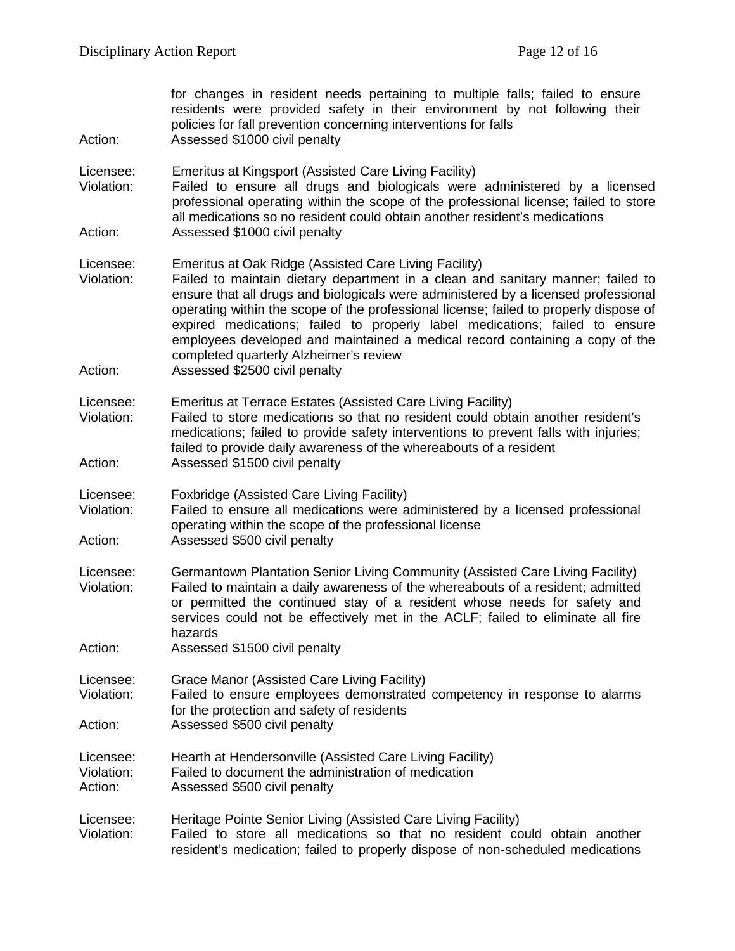| Action:                            | for changes in resident needs pertaining to multiple falls; failed to ensure<br>residents were provided safety in their environment by not following their<br>policies for fall prevention concerning interventions for falls<br>Assessed \$1000 civil penalty                                                                                                                                                                                                                                                                   |
|------------------------------------|----------------------------------------------------------------------------------------------------------------------------------------------------------------------------------------------------------------------------------------------------------------------------------------------------------------------------------------------------------------------------------------------------------------------------------------------------------------------------------------------------------------------------------|
| Licensee:<br>Violation:            | Emeritus at Kingsport (Assisted Care Living Facility)<br>Failed to ensure all drugs and biologicals were administered by a licensed<br>professional operating within the scope of the professional license; failed to store<br>all medications so no resident could obtain another resident's medications                                                                                                                                                                                                                        |
| Action:                            | Assessed \$1000 civil penalty                                                                                                                                                                                                                                                                                                                                                                                                                                                                                                    |
| Licensee:<br>Violation:            | Emeritus at Oak Ridge (Assisted Care Living Facility)<br>Failed to maintain dietary department in a clean and sanitary manner; failed to<br>ensure that all drugs and biologicals were administered by a licensed professional<br>operating within the scope of the professional license; failed to properly dispose of<br>expired medications; failed to properly label medications; failed to ensure<br>employees developed and maintained a medical record containing a copy of the<br>completed quarterly Alzheimer's review |
| Action:                            | Assessed \$2500 civil penalty                                                                                                                                                                                                                                                                                                                                                                                                                                                                                                    |
| Licensee:<br>Violation:            | <b>Emeritus at Terrace Estates (Assisted Care Living Facility)</b><br>Failed to store medications so that no resident could obtain another resident's<br>medications; failed to provide safety interventions to prevent falls with injuries;<br>failed to provide daily awareness of the whereabouts of a resident                                                                                                                                                                                                               |
| Action:                            | Assessed \$1500 civil penalty                                                                                                                                                                                                                                                                                                                                                                                                                                                                                                    |
| Licensee:<br>Violation:<br>Action: | Foxbridge (Assisted Care Living Facility)<br>Failed to ensure all medications were administered by a licensed professional<br>operating within the scope of the professional license<br>Assessed \$500 civil penalty                                                                                                                                                                                                                                                                                                             |
|                                    |                                                                                                                                                                                                                                                                                                                                                                                                                                                                                                                                  |
| Licensee:<br>Violation:            | Germantown Plantation Senior Living Community (Assisted Care Living Facility)<br>Failed to maintain a daily awareness of the whereabouts of a resident; admitted<br>or permitted the continued stay of a resident whose needs for safety and<br>services could not be effectively met in the ACLF; failed to eliminate all fire<br>hazards                                                                                                                                                                                       |
| Action:                            | Assessed \$1500 civil penalty                                                                                                                                                                                                                                                                                                                                                                                                                                                                                                    |
| Licensee:<br>Violation:            | Grace Manor (Assisted Care Living Facility)<br>Failed to ensure employees demonstrated competency in response to alarms<br>for the protection and safety of residents                                                                                                                                                                                                                                                                                                                                                            |
| Action:                            | Assessed \$500 civil penalty                                                                                                                                                                                                                                                                                                                                                                                                                                                                                                     |
| Licensee:<br>Violation:<br>Action: | Hearth at Hendersonville (Assisted Care Living Facility)<br>Failed to document the administration of medication<br>Assessed \$500 civil penalty                                                                                                                                                                                                                                                                                                                                                                                  |
| Licensee:<br>Violation:            | Heritage Pointe Senior Living (Assisted Care Living Facility)<br>Failed to store all medications so that no resident could obtain another<br>resident's medication; failed to properly dispose of non-scheduled medications                                                                                                                                                                                                                                                                                                      |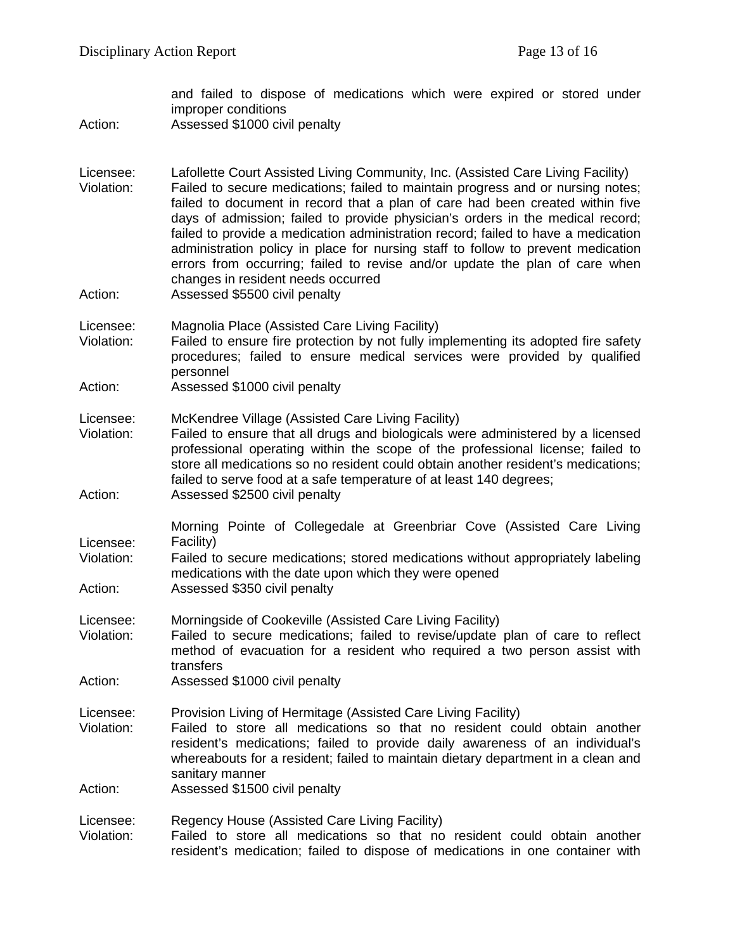and failed to dispose of medications which were expired or stored under improper conditions Action: Assessed \$1000 civil penalty Licensee: Lafollette Court Assisted Living Community, Inc. (Assisted Care Living Facility) Violation: Failed to secure medications; failed to maintain progress and or nursing notes; failed to document in record that a plan of care had been created within five days of admission; failed to provide physician's orders in the medical record; failed to provide a medication administration record; failed to have a medication administration policy in place for nursing staff to follow to prevent medication errors from occurring; failed to revise and/or update the plan of care when changes in resident needs occurred Action: Assessed \$5500 civil penalty Licensee: Magnolia Place (Assisted Care Living Facility) Violation: Failed to ensure fire protection by not fully implementing its adopted fire safety procedures; failed to ensure medical services were provided by qualified personnel Action: Assessed \$1000 civil penalty Licensee: McKendree Village (Assisted Care Living Facility) Violation: Failed to ensure that all drugs and biologicals were administered by a licensed professional operating within the scope of the professional license; failed to store all medications so no resident could obtain another resident's medications; failed to serve food at a safe temperature of at least 140 degrees; Action: Assessed \$2500 civil penalty Licensee: Morning Pointe of Collegedale at Greenbriar Cove (Assisted Care Living Facility) Violation: Failed to secure medications; stored medications without appropriately labeling medications with the date upon which they were opened Action: Assessed \$350 civil penalty Licensee: Morningside of Cookeville (Assisted Care Living Facility) Violation: Failed to secure medications; failed to revise/update plan of care to reflect method of evacuation for a resident who required a two person assist with transfers Action: Assessed \$1000 civil penalty Licensee: Provision Living of Hermitage (Assisted Care Living Facility)<br>Violation: Failed to store all medications so that no resident co Failed to store all medications so that no resident could obtain another resident's medications; failed to provide daily awareness of an individual's whereabouts for a resident; failed to maintain dietary department in a clean and sanitary manner Action: Assessed \$1500 civil penalty Licensee: Regency House (Assisted Care Living Facility) Violation: Failed to store all medications so that no resident could obtain another resident's medication; failed to dispose of medications in one container with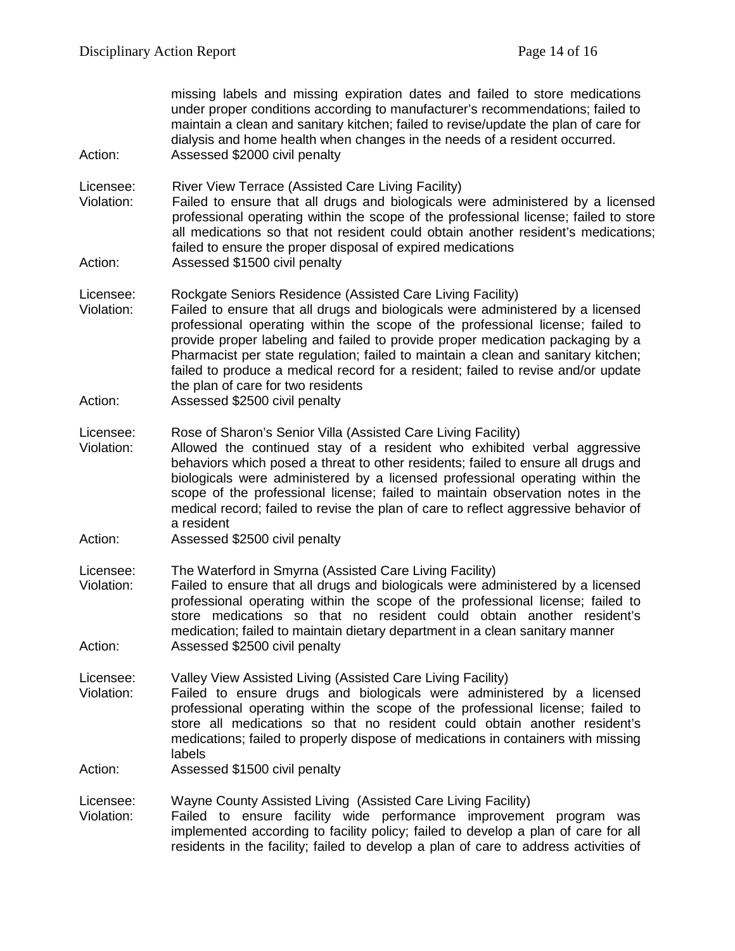missing labels and missing expiration dates and failed to store medications under proper conditions according to manufacturer's recommendations; failed to maintain a clean and sanitary kitchen; failed to revise/update the plan of care for dialysis and home health when changes in the needs of a resident occurred. Action: Assessed \$2000 civil penalty

Licensee: River View Terrace (Assisted Care Living Facility)

- Violation: Failed to ensure that all drugs and biologicals were administered by a licensed professional operating within the scope of the professional license; failed to store all medications so that not resident could obtain another resident's medications; failed to ensure the proper disposal of expired medications
- Action: Assessed \$1500 civil penalty
- Licensee: Rockgate Seniors Residence (Assisted Care Living Facility)
- Violation: Failed to ensure that all drugs and biologicals were administered by a licensed professional operating within the scope of the professional license; failed to provide proper labeling and failed to provide proper medication packaging by a Pharmacist per state regulation; failed to maintain a clean and sanitary kitchen; failed to produce a medical record for a resident; failed to revise and/or update the plan of care for two residents
- Action: Assessed \$2500 civil penalty
- Licensee: Rose of Sharon's Senior Villa (Assisted Care Living Facility)
- Violation: Allowed the continued stay of a resident who exhibited verbal aggressive behaviors which posed a threat to other residents; failed to ensure all drugs and biologicals were administered by a licensed professional operating within the scope of the professional license; failed to maintain observation notes in the medical record; failed to revise the plan of care to reflect aggressive behavior of a resident
- Action: Assessed \$2500 civil penalty
- Licensee: The Waterford in Smyrna (Assisted Care Living Facility)
- Failed to ensure that all drugs and biologicals were administered by a licensed professional operating within the scope of the professional license; failed to store medications so that no resident could obtain another resident's medication; failed to maintain dietary department in a clean sanitary manner Action: Assessed \$2500 civil penalty
- Licensee: Valley View Assisted Living (Assisted Care Living Facility)
- Violation: Failed to ensure drugs and biologicals were administered by a licensed professional operating within the scope of the professional license; failed to store all medications so that no resident could obtain another resident's medications; failed to properly dispose of medications in containers with missing labels
- Action: Assessed \$1500 civil penalty
- Licensee: Wayne County Assisted Living (Assisted Care Living Facility)
- Violation: Failed to ensure facility wide performance improvement program was implemented according to facility policy; failed to develop a plan of care for all residents in the facility; failed to develop a plan of care to address activities of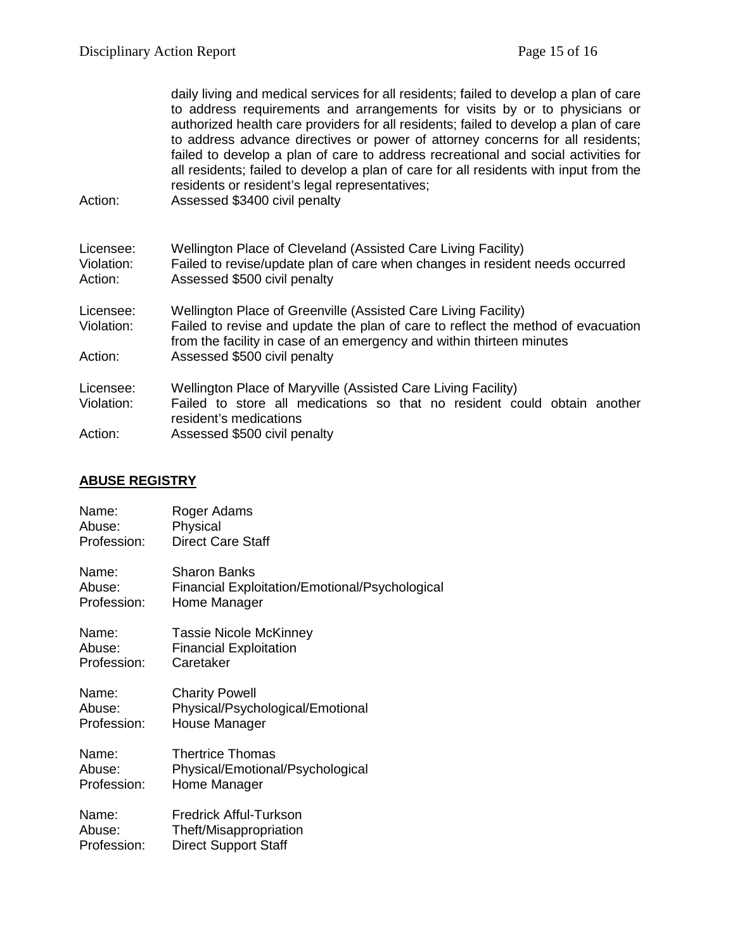| Action:                            | daily living and medical services for all residents; failed to develop a plan of care<br>to address requirements and arrangements for visits by or to physicians or<br>authorized health care providers for all residents; failed to develop a plan of care<br>to address advance directives or power of attorney concerns for all residents;<br>failed to develop a plan of care to address recreational and social activities for<br>all residents; failed to develop a plan of care for all residents with input from the<br>residents or resident's legal representatives;<br>Assessed \$3400 civil penalty |
|------------------------------------|-----------------------------------------------------------------------------------------------------------------------------------------------------------------------------------------------------------------------------------------------------------------------------------------------------------------------------------------------------------------------------------------------------------------------------------------------------------------------------------------------------------------------------------------------------------------------------------------------------------------|
| Licensee:<br>Violation:<br>Action: | Wellington Place of Cleveland (Assisted Care Living Facility)<br>Failed to revise/update plan of care when changes in resident needs occurred<br>Assessed \$500 civil penalty                                                                                                                                                                                                                                                                                                                                                                                                                                   |
| Licensee:<br>Violation:<br>Action: | Wellington Place of Greenville (Assisted Care Living Facility)<br>Failed to revise and update the plan of care to reflect the method of evacuation<br>from the facility in case of an emergency and within thirteen minutes<br>Assessed \$500 civil penalty                                                                                                                                                                                                                                                                                                                                                     |
| Licensee:<br>Violation:<br>Action: | Wellington Place of Maryville (Assisted Care Living Facility)<br>Failed to store all medications so that no resident could obtain another<br>resident's medications<br>Assessed \$500 civil penalty                                                                                                                                                                                                                                                                                                                                                                                                             |

# **ABUSE REGISTRY**

| Name:       | Roger Adams                                    |
|-------------|------------------------------------------------|
| Abuse:      | Physical                                       |
| Profession: | <b>Direct Care Staff</b>                       |
| Name:       | <b>Sharon Banks</b>                            |
| Abuse:      | Financial Exploitation/Emotional/Psychological |
| Profession: | Home Manager                                   |
| Name:       | <b>Tassie Nicole McKinney</b>                  |
| Abuse:      | <b>Financial Exploitation</b>                  |
| Profession: | Caretaker                                      |
| Name:       | <b>Charity Powell</b>                          |
| Abuse:      | Physical/Psychological/Emotional               |
| Profession: | House Manager                                  |
| Name:       | <b>Thertrice Thomas</b>                        |
| Abuse:      | Physical/Emotional/Psychological               |
| Profession: | Home Manager                                   |
| Name:       | <b>Fredrick Afful-Turkson</b>                  |
| Abuse:      | Theft/Misappropriation                         |
| Profession: | <b>Direct Support Staff</b>                    |